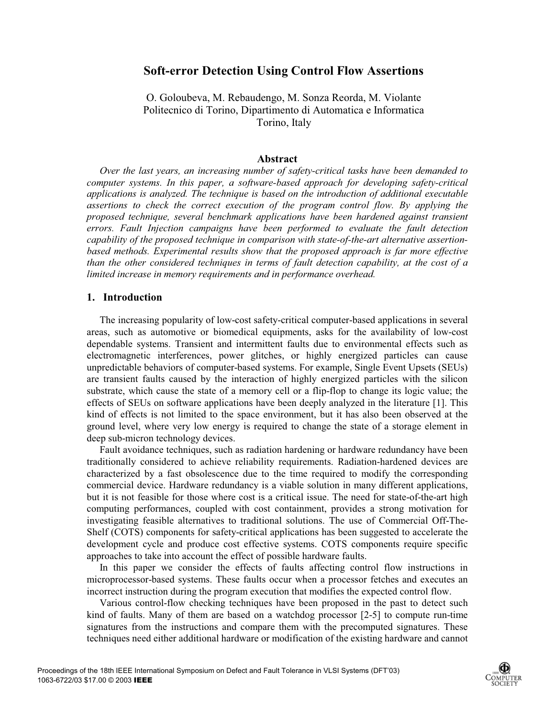# **Soft-error Detection Using Control Flow Assertions**

O. Goloubeva, M. Rebaudengo, M. Sonza Reorda, M. Violante Politecnico di Torino, Dipartimento di Automatica e Informatica Torino, Italy

## **Abstract**

*Over the last years, an increasing number of safety-critical tasks have been demanded to computer systems. In this paper, a software-based approach for developing safety-critical applications is analyzed. The technique is based on the introduction of additional executable assertions to check the correct execution of the program control flow. By applying the proposed technique, several benchmark applications have been hardened against transient errors. Fault Injection campaigns have been performed to evaluate the fault detection capability of the proposed technique in comparison with state-of-the-art alternative assertion*based methods. Experimental results show that the proposed approach is far more effective *than the other considered techniques in terms of fault detection capability, at the cost of a limited increase in memory requirements and in performance overhead.* 

#### **1. Introduction**

The increasing popularity of low-cost safety-critical computer-based applications in several areas, such as automotive or biomedical equipments, asks for the availability of low-cost dependable systems. Transient and intermittent faults due to environmental effects such as electromagnetic interferences, power glitches, or highly energized particles can cause unpredictable behaviors of computer-based systems. For example, Single Event Upsets (SEUs) are transient faults caused by the interaction of highly energized particles with the silicon substrate, which cause the state of a memory cell or a flip-flop to change its logic value; the effects of SEUs on software applications have been deeply analyzed in the literature [1]. This kind of effects is not limited to the space environment, but it has also been observed at the ground level, where very low energy is required to change the state of a storage element in deep sub-micron technology devices.

Fault avoidance techniques, such as radiation hardening or hardware redundancy have been traditionally considered to achieve reliability requirements. Radiation-hardened devices are characterized by a fast obsolescence due to the time required to modify the corresponding commercial device. Hardware redundancy is a viable solution in many different applications, but it is not feasible for those where cost is a critical issue. The need for state-of-the-art high computing performances, coupled with cost containment, provides a strong motivation for investigating feasible alternatives to traditional solutions. The use of Commercial Off-The-Shelf (COTS) components for safety-critical applications has been suggested to accelerate the development cycle and produce cost effective systems. COTS components require specific approaches to take into account the effect of possible hardware faults.

In this paper we consider the effects of faults affecting control flow instructions in microprocessor-based systems. These faults occur when a processor fetches and executes an incorrect instruction during the program execution that modifies the expected control flow.

Various control-flow checking techniques have been proposed in the past to detect such kind of faults. Many of them are based on a watchdog processor [2-5] to compute run-time signatures from the instructions and compare them with the precomputed signatures. These techniques need either additional hardware or modification of the existing hardware and cannot

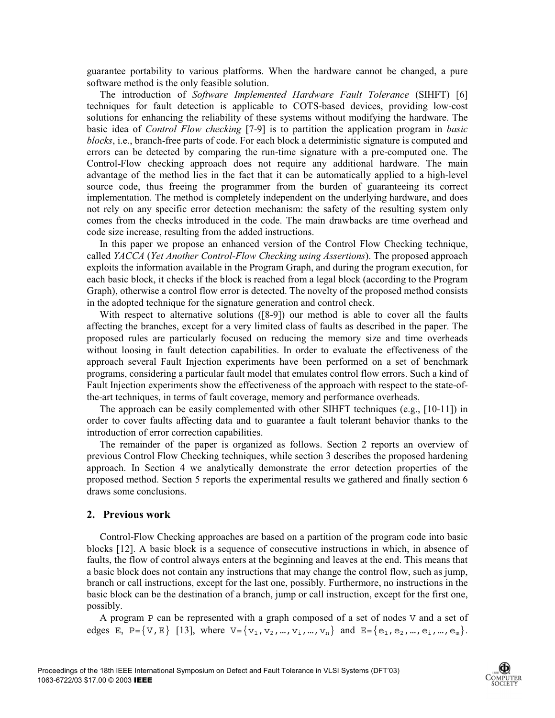guarantee portability to various platforms. When the hardware cannot be changed, a pure software method is the only feasible solution.

The introduction of *Software Implemented Hardware Fault Tolerance* (SIHFT) [6] techniques for fault detection is applicable to COTS-based devices, providing low-cost solutions for enhancing the reliability of these systems without modifying the hardware. The basic idea of *Control Flow checking* [7-9] is to partition the application program in *basic blocks*, i.e., branch-free parts of code. For each block a deterministic signature is computed and errors can be detected by comparing the run-time signature with a pre-computed one. The Control-Flow checking approach does not require any additional hardware. The main advantage of the method lies in the fact that it can be automatically applied to a high-level source code, thus freeing the programmer from the burden of guaranteeing its correct implementation. The method is completely independent on the underlying hardware, and does not rely on any specific error detection mechanism: the safety of the resulting system only comes from the checks introduced in the code. The main drawbacks are time overhead and code size increase, resulting from the added instructions.

In this paper we propose an enhanced version of the Control Flow Checking technique, called *YACCA* (*Yet Another Control-Flow Checking using Assertions*). The proposed approach exploits the information available in the Program Graph, and during the program execution, for each basic block, it checks if the block is reached from a legal block (according to the Program Graph), otherwise a control flow error is detected. The novelty of the proposed method consists in the adopted technique for the signature generation and control check.

With respect to alternative solutions ([8-9]) our method is able to cover all the faults affecting the branches, except for a very limited class of faults as described in the paper. The proposed rules are particularly focused on reducing the memory size and time overheads without loosing in fault detection capabilities. In order to evaluate the effectiveness of the approach several Fault Injection experiments have been performed on a set of benchmark programs, considering a particular fault model that emulates control flow errors. Such a kind of Fault Injection experiments show the effectiveness of the approach with respect to the state-ofthe-art techniques, in terms of fault coverage, memory and performance overheads.

The approach can be easily complemented with other SIHFT techniques (e.g., [10-11]) in order to cover faults affecting data and to guarantee a fault tolerant behavior thanks to the introduction of error correction capabilities.

The remainder of the paper is organized as follows. Section 2 reports an overview of previous Control Flow Checking techniques, while section 3 describes the proposed hardening approach. In Section 4 we analytically demonstrate the error detection properties of the proposed method. Section 5 reports the experimental results we gathered and finally section 6 draws some conclusions.

#### **2. Previous work**

Control-Flow Checking approaches are based on a partition of the program code into basic blocks [12]. A basic block is a sequence of consecutive instructions in which, in absence of faults, the flow of control always enters at the beginning and leaves at the end. This means that a basic block does not contain any instructions that may change the control flow, such as jump, branch or call instructions, except for the last one, possibly. Furthermore, no instructions in the basic block can be the destination of a branch, jump or call instruction, except for the first one, possibly.

A program P can be represented with a graph composed of a set of nodes V and a set of edges E, P={V, E} [13], where  $V = \{v_1, v_2, ..., v_i, ..., v_n\}$  and  $E = \{e_1, e_2, ..., e_i, ..., e_m\}$ .

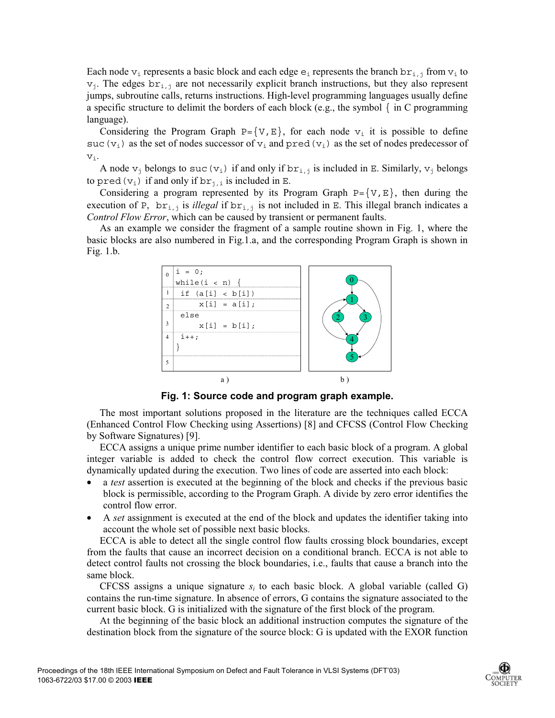Each node  $v_i$  represents a basic block and each edge  $e_i$  represents the branch  $br_{i,j}$  from  $v_i$  to  $v_j$ . The edges  $br_{i,j}$  are not necessarily explicit branch instructions, but they also represent jumps, subroutine calls, returns instructions. High-level programming languages usually define a specific structure to delimit the borders of each block (e.g., the symbol  $\{$  in C programming language).

Considering the Program Graph  $P = \{V, E\}$ , for each node  $v_i$  it is possible to define suc( $v_i$ ) as the set of nodes successor of  $v_i$  and pred( $v_i$ ) as the set of nodes predecessor of vi.

A node  $v_i$  belongs to suc ( $v_i$ ) if and only if  $br_{i,i}$  is included in E. Similarly,  $v_i$  belongs to pred( $v_i$ ) if and only if  $br_{i,i}$  is included in E.

Considering a program represented by its Program Graph  $P = \{V, E\}$ , then during the execution of P,  $br_{i,j}$  is *illegal* if  $br_{i,j}$  is not included in E. This illegal branch indicates a *Control Flow Error*, which can be caused by transient or permanent faults.

As an example we consider the fragment of a sample routine shown in Fig. 1, where the basic blocks are also numbered in Fig.1.a, and the corresponding Program Graph is shown in Fig. 1.b.



**Fig. 1: Source code and program graph example.** 

The most important solutions proposed in the literature are the techniques called ECCA (Enhanced Control Flow Checking using Assertions) [8] and CFCSS (Control Flow Checking by Software Signatures) [9].

ECCA assigns a unique prime number identifier to each basic block of a program. A global integer variable is added to check the control flow correct execution. This variable is dynamically updated during the execution. Two lines of code are asserted into each block:

- a *test* assertion is executed at the beginning of the block and checks if the previous basic block is permissible, according to the Program Graph. A divide by zero error identifies the control flow error.
- A *set* assignment is executed at the end of the block and updates the identifier taking into account the whole set of possible next basic blocks.

ECCA is able to detect all the single control flow faults crossing block boundaries, except from the faults that cause an incorrect decision on a conditional branch. ECCA is not able to detect control faults not crossing the block boundaries, i.e., faults that cause a branch into the same block.

CFCSS assigns a unique signature  $s_i$  to each basic block. A global variable (called G) contains the run-time signature. In absence of errors, G contains the signature associated to the current basic block. G is initialized with the signature of the first block of the program.

At the beginning of the basic block an additional instruction computes the signature of the destination block from the signature of the source block: G is updated with the EXOR function

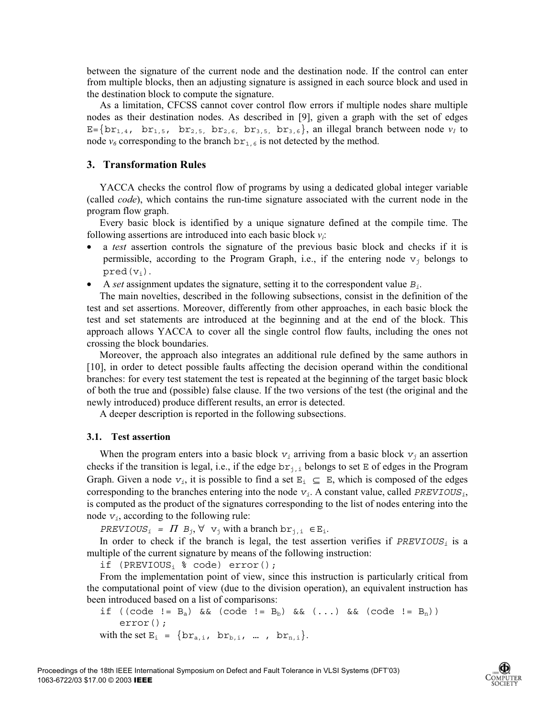between the signature of the current node and the destination node. If the control can enter from multiple blocks, then an adjusting signature is assigned in each source block and used in the destination block to compute the signature.

As a limitation, CFCSS cannot cover control flow errors if multiple nodes share multiple nodes as their destination nodes. As described in [9], given a graph with the set of edges  $E = \{br_{1,4}, br_{1,5}, br_{2,5}, br_{2,6}, br_{3,5}, br_{3,6}\}$ , an illegal branch between node  $v_1$  to node  $v_6$  corresponding to the branch  $br_{1,6}$  is not detected by the method.

# **3. Transformation Rules**

YACCA checks the control flow of programs by using a dedicated global integer variable (called *code*), which contains the run-time signature associated with the current node in the program flow graph.

Every basic block is identified by a unique signature defined at the compile time. The following assertions are introduced into each basic block *vi*:

- a *test* assertion controls the signature of the previous basic block and checks if it is permissible, according to the Program Graph, i.e., if the entering node  $v_j$  belongs to  $pred(v<sub>i</sub>)$ .
- A *set* assignment updates the signature, setting it to the correspondent value *Bi*.

The main novelties, described in the following subsections, consist in the definition of the test and set assertions. Moreover, differently from other approaches, in each basic block the test and set statements are introduced at the beginning and at the end of the block. This approach allows YACCA to cover all the single control flow faults, including the ones not crossing the block boundaries.

Moreover, the approach also integrates an additional rule defined by the same authors in [10], in order to detect possible faults affecting the decision operand within the conditional branches: for every test statement the test is repeated at the beginning of the target basic block of both the true and (possible) false clause. If the two versions of the test (the original and the newly introduced) produce different results, an error is detected.

A deeper description is reported in the following subsections.

# **3.1. Test assertion**

When the program enters into a basic block  $v_i$  arriving from a basic block  $v_j$  an assertion checks if the transition is legal, i.e., if the edge  $\text{br}_{j,i}$  belongs to set E of edges in the Program Graph. Given a node  $v_i$ , it is possible to find a set  $E_i \subseteq E$ , which is composed of the edges corresponding to the branches entering into the node  $v_i$ . A constant value, called *PREVIOUS<sub>i</sub>*, is computed as the product of the signatures corresponding to the list of nodes entering into the node *vi*, according to the following rule:

*PREVIOUS<sub>i</sub>* =  $\Pi$   $B_j$ ,  $\forall$   $v_j$  with a branch  $br_{j,i} \in E_i$ .

In order to check if the branch is legal, the test assertion verifies if  $PREVIOUS<sub>i</sub>$  is a multiple of the current signature by means of the following instruction:

if (PREVIOUS<sub>i</sub> % code) error();

From the implementation point of view, since this instruction is particularly critical from the computational point of view (due to the division operation), an equivalent instruction has been introduced based on a list of comparisons:

```
if ((code != B_a) && (code != B_b) && (...) && (code != B_n))
    error();
with the set E_i = \{br_{a,i}, br_{b,i}, ..., br_{n,i}\}.
```
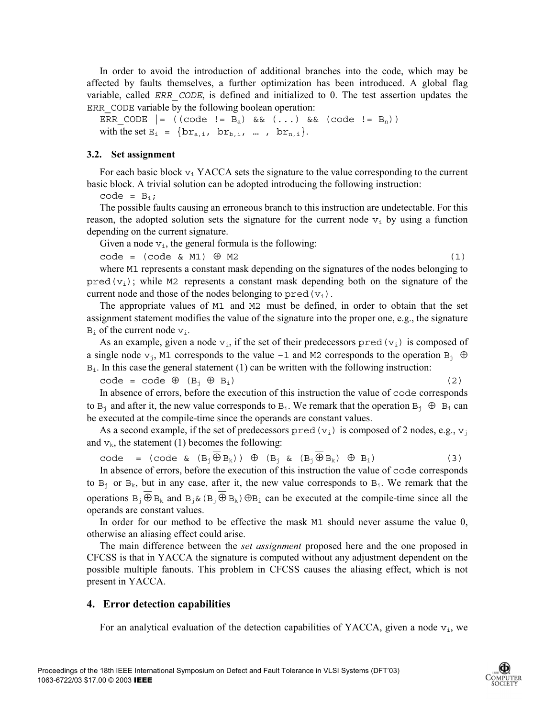In order to avoid the introduction of additional branches into the code, which may be affected by faults themselves, a further optimization has been introduced. A global flag variable, called *ERR\_CODE*, is defined and initialized to 0. The test assertion updates the ERR CODE variable by the following boolean operation:

ERR\_CODE  $| =$  ((code != B<sub>a</sub>) && (...) && (code != B<sub>n</sub>)) with the set  $E_i = \{br_{a,i}, br_{b,i}, ..., br_{n,i}\}.$ 

#### **3.2. Set assignment**

For each basic block  $v_i$  YACCA sets the signature to the value corresponding to the current basic block. A trivial solution can be adopted introducing the following instruction:

 $code = B_i;$ 

The possible faults causing an erroneous branch to this instruction are undetectable. For this reason, the adopted solution sets the signature for the current node  $v_i$  by using a function depending on the current signature.

Given a node  $v_i$ , the general formula is the following:

 $\text{code} = (\text{code} \& \text{M1}) \oplus \text{M2}$  (1)

where M1 represents a constant mask depending on the signatures of the nodes belonging to pred( $v_i$ ); while M2 represents a constant mask depending both on the signature of the current node and those of the nodes belonging to  $pred(v_i)$ .

The appropriate values of M1 and M2 must be defined, in order to obtain that the set assignment statement modifies the value of the signature into the proper one, e.g., the signature  $B_i$  of the current node  $v_i$ .

As an example, given a node  $v_i$ , if the set of their predecessors pred( $v_i$ ) is composed of a single node  $v_i$ , M1 corresponds to the value –1 and M2 corresponds to the operation  $B_i$   $\oplus$  $B_i$ . In this case the general statement (1) can be written with the following instruction:

 $\text{code} = \text{code} \oplus (\text{B}_i \oplus \text{B}_i)$  (2)

In absence of errors, before the execution of this instruction the value of code corresponds to  $B_i$  and after it, the new value corresponds to  $B_i$ . We remark that the operation  $B_i \oplus B_i$  can be executed at the compile-time since the operands are constant values.

As a second example, if the set of predecessors pred( $v_i$ ) is composed of 2 nodes, e.g.,  $v_i$ and  $v_k$ , the statement (1) becomes the following:

code = (code &  $(B_j \oplus B_k)$ )  $\oplus$   $(B_j \oplus (B_j \oplus B_k) \oplus B_i)$  (3) In absence of errors, before the execution of this instruction the value of code corresponds to  $B_j$  or  $B_k$ , but in any case, after it, the new value corresponds to  $B_i$ . We remark that the

operations  $B_j \overline{\oplus} B_k$  and  $B_j \& (B_j \overline{\oplus} B_k) \oplus B_i$  can be executed at the compile-time since all the operands are constant values.

In order for our method to be effective the mask M1 should never assume the value 0, otherwise an aliasing effect could arise.

The main difference between the *set assignment* proposed here and the one proposed in CFCSS is that in YACCA the signature is computed without any adjustment dependent on the possible multiple fanouts. This problem in CFCSS causes the aliasing effect, which is not present in YACCA.

#### **4. Error detection capabilities**

For an analytical evaluation of the detection capabilities of YACCA, given a node  $v_i$ , we

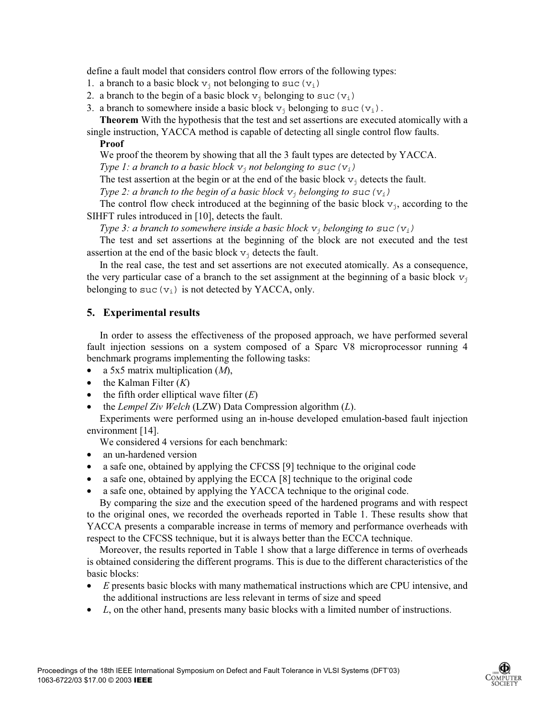define a fault model that considers control flow errors of the following types:

- 1. a branch to a basic block  $v_i$  not belonging to suc ( $v_i$ )
- 2. a branch to the begin of a basic block  $v_i$  belonging to suc ( $v_i$ )
- 3. a branch to somewhere inside a basic block  $v_j$  belonging to suc( $v_i$ ).

**Theorem** With the hypothesis that the test and set assertions are executed atomically with a single instruction, YACCA method is capable of detecting all single control flow faults.

**Proof** 

We proof the theorem by showing that all the 3 fault types are detected by YACCA.

*Type 1: a branch to a basic block*  $v_j$  *not belonging to suc(* $v_j$ *)* 

The test assertion at the begin or at the end of the basic block  $v_i$  detects the fault.

*Type 2: a branch to the begin of a basic block*  $v_j$  *belonging to suc* ( $v_i$ )

The control flow check introduced at the beginning of the basic block  $v_j$ , according to the SIHFT rules introduced in [10], detects the fault.

*Type 3: a branch to somewhere inside a basic block*  $v_j$  *belonging to suc* ( $v_i$ )

The test and set assertions at the beginning of the block are not executed and the test assertion at the end of the basic block  $v_j$  detects the fault.

In the real case, the test and set assertions are not executed atomically. As a consequence, the very particular case of a branch to the set assignment at the beginning of a basic block  $v_i$ belonging to suc  $(v_i)$  is not detected by YACCA, only.

# **5. Experimental results**

In order to assess the effectiveness of the proposed approach, we have performed several fault injection sessions on a system composed of a Sparc V8 microprocessor running 4 benchmark programs implementing the following tasks:

- a 5x5 matrix multiplication (*M*),
- the Kalman Filter (*K*)
- the fifth order elliptical wave filter  $(E)$
- the *Lempel Ziv Welch* (LZW) Data Compression algorithm (*L*).

Experiments were performed using an in-house developed emulation-based fault injection environment [14].

We considered 4 versions for each benchmark:

- an un-hardened version
- a safe one, obtained by applying the CFCSS [9] technique to the original code
- a safe one, obtained by applying the ECCA [8] technique to the original code
- a safe one, obtained by applying the YACCA technique to the original code.

By comparing the size and the execution speed of the hardened programs and with respect to the original ones, we recorded the overheads reported in Table 1. These results show that YACCA presents a comparable increase in terms of memory and performance overheads with respect to the CFCSS technique, but it is always better than the ECCA technique.

Moreover, the results reported in Table 1 show that a large difference in terms of overheads is obtained considering the different programs. This is due to the different characteristics of the basic blocks:

- *E* presents basic blocks with many mathematical instructions which are CPU intensive, and the additional instructions are less relevant in terms of size and speed
- *L*, on the other hand, presents many basic blocks with a limited number of instructions.

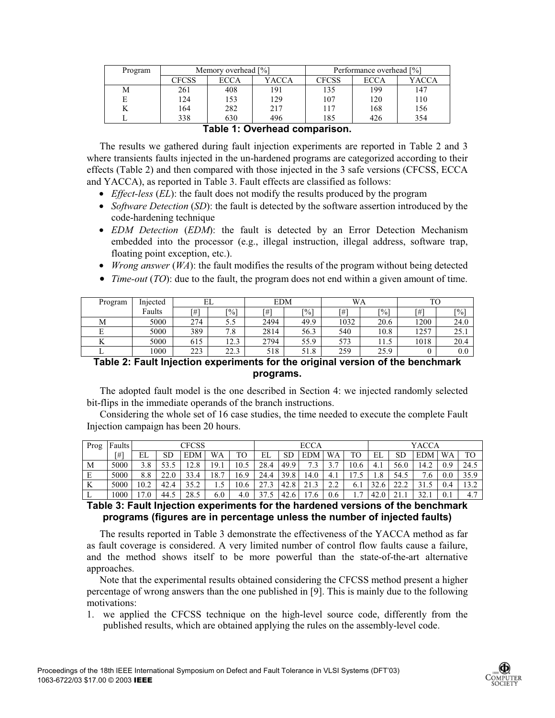| Program |              | Memory overhead [%] |       | Performance overhead [%] |             |       |  |  |  |
|---------|--------------|---------------------|-------|--------------------------|-------------|-------|--|--|--|
|         | <b>CFCSS</b> | <b>ECCA</b>         | YACCA | CFCSS                    | <b>ECCA</b> | YACCA |  |  |  |
| М       | 261          | 408                 | 191   | 135                      | 199         | 147   |  |  |  |
|         | 124          | 153                 | 129   | 107                      | 120         | 110   |  |  |  |
|         | 164          | 282                 | 217   | 117                      | 168         | 156   |  |  |  |
|         | 338          | 630                 | 496   | 185                      | 426         | 354   |  |  |  |

The results we gathered during fault injection experiments are reported in Table 2 and 3 where transients faults injected in the un-hardened programs are categorized according to their effects (Table 2) and then compared with those injected in the 3 safe versions (CFCSS, ECCA and YACCA), as reported in Table 3. Fault effects are classified as follows:

- *Effect-less* (*EL*): the fault does not modify the results produced by the program
- *Software Detection* (*SD*): the fault is detected by the software assertion introduced by the code-hardening technique
- *EDM Detection* (*EDM*): the fault is detected by an Error Detection Mechanism embedded into the processor (e.g., illegal instruction, illegal address, software trap, floating point exception, etc.).
- *Wrong answer* (*WA*): the fault modifies the results of the program without being detected
- *Time-out* (*TO*): due to the fault, the program does not end within a given amount of time.

| Program | Injected | EL  |          | <b>EDM</b> |                   | WA   |                    |      |                   |  |
|---------|----------|-----|----------|------------|-------------------|------|--------------------|------|-------------------|--|
|         | Faults   | [#] | [%]      | [#]        | $\lceil\% \rceil$ | [#]  | $\lceil \% \rceil$ | 「#`  | $\lceil\% \rceil$ |  |
| М       | 5000     | 274 | 5.5      | 2494       | 49.9              | 1032 | 20.6               | 1200 | 24.0              |  |
| Е       | 5000     | 389 | 7.8<br>− | 2814       | 56.3              | 540  | 10.8               | 1257 | 25.1              |  |
| A       | 5000     | 615 | 12.3     | 2794       | 55.9              | 573  | 11.5               | 1018 | 20.4              |  |
|         | 1000     | 223 | 22.3     | 518        | 51.8              | 259  | 25.9               |      | 0.0               |  |

# **Table 2: Fault Injection experiments for the original version of the benchmark programs.**

The adopted fault model is the one described in Section 4: we injected randomly selected bit-flips in the immediate operands of the branch instructions.

Considering the whole set of 16 case studies, the time needed to execute the complete Fault Injection campaign has been 20 hours.

| Prog | Faults            | <b>CFCSS</b> |      |      |      |      | <b>ECCA</b> |           |            |     | <b>YACCA</b> |      |      |            |     |      |
|------|-------------------|--------------|------|------|------|------|-------------|-----------|------------|-----|--------------|------|------|------------|-----|------|
|      | $\lceil # \rceil$ | EL           | SD   | EDM  | WA   | TO   | EL          | <b>SD</b> | <b>EDM</b> | WA  | TO           | EL   | SD   | <b>EDM</b> | WA  | TO   |
| M    | 5000              | 3.8          |      | 12.8 | 19.1 | 10.5 | 28.4        | 49.9      | 73         | −   | 10.6         | 4.1  | 56.0 | 14.2       | 0.9 | 24.5 |
| Е    | 5000              | 8.8          | 22.0 | 33.4 | 18.7 | 16.9 | 24.4        | 39.8      | 14.0       | 4.1 | 17           | 1.8  | 54.5 | 7.6        | 0.0 | 35.9 |
| K    | 5000              | 10.2         | 42.4 | 35.2 | 1.5  | 10.6 | 27.3        | 42.8      | 21.3       | າ າ | 6.1          | 32.6 | າາ າ | 31.5       | 0.4 | 13.2 |
| ப    | 1000              | 7.0          | 44.5 | 28.5 | 6.0  | 4.0  | 37.5        | 42.6      | 17.6       | 0.6 | 17           | 42.0 |      | 32.1       | 0.1 | 4.7  |

## **Table 3: Fault Injection experiments for the hardened versions of the benchmark programs (figures are in percentage unless the number of injected faults)**

The results reported in Table 3 demonstrate the effectiveness of the YACCA method as far as fault coverage is considered. A very limited number of control flow faults cause a failure, and the method shows itself to be more powerful than the state-of-the-art alternative approaches.

Note that the experimental results obtained considering the CFCSS method present a higher percentage of wrong answers than the one published in [9]. This is mainly due to the following motivations:

1. we applied the CFCSS technique on the high-level source code, differently from the published results, which are obtained applying the rules on the assembly-level code.